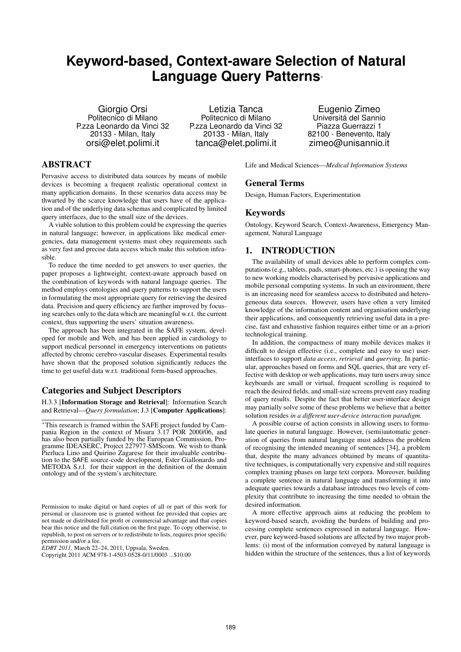# **Keyword-based, Context-aware Selection of Natural Language Query Patterns**<sup>∗</sup>

Giorgio Orsi Politecnico di Milano P.zza Leonardo da Vinci 32 20133 - Milan, Italy orsi@elet.polimi.it

Letizia Tanca Politecnico di Milano P.zza Leonardo da Vinci 32 20133 - Milan, Italy tanca@elet.polimi.it

Eugenio Zimeo Universitá del Sannio Piazza Guerrazzi 1 82100 - Benevento, Italy zimeo@unisannio.it

# ABSTRACT

Life and Medical Sciences—*Medical Information Systems*

## General Terms

Design, Human Factors, Experimentation

#### Keywords

Ontology, Keyword Search, Context-Awareness, Emergency Management, Natural Language

# 1. INTRODUCTION

The availability of small devices able to perform complex computations (e.g., tablets, pads, smart-phones, etc.) is opening the way to new working models characterised by pervasive applications and mobile personal computing systems. In such an environment, there is an increasing need for seamless access to distributed and heterogeneous data sources. However, users have often a very limited knowledge of the information content and organisation underlying their applications, and consequently retrieving useful data in a precise, fast and exhaustive fashion requires either time or an a-priori technological training.

In addition, the compactness of many mobile devices makes it difficult to design effective (i.e., complete and easy to use) userinterfaces to support *data access*, *retrieval* and *querying*. In particular, approaches based on forms and SQL queries, that are very effective with desktop or web applications, may turn users away since keyboards are small or virtual, frequent scrolling is required to reach the desired fields, and small-size screens prevent easy reading of query results. Despite the fact that better user-interface design may partially solve some of these problems we believe that a better solution resides *in a different user-device interaction paradigm.*

A possible course of action consists in allowing users to formulate queries in natural language. However, (semi)automatic generation of queries from natural language must address the problem of recognising the intended meaning of sentences [34], a problem that, despite the many advances obtained by means of quantitative techniques, is computationally very expensive and still requires complex training phases on large text corpora. Moreover, building a complete sentence in natural language and transforming it into adequate queries towards a database introduces two levels of complexity that contribute to increasing the time needed to obtain the desired information.

A more effective approach aims at reducing the problem to keyword-based search, avoiding the burdens of building and processing complete sentences expressed in natural language. However, pure keyword-based solutions are affected by two major problems: (i) most of the information conveyed by natural language is hidden within the structure of the sentences, thus a list of keywords

Pervasive access to distributed data sources by means of mobile devices is becoming a frequent realistic operational context in many application domains. In these scenarios data access may be thwarted by the scarce knowledge that users have of the application and of the underlying data schemas and complicated by limited query interfaces, due to the small size of the devices.

A viable solution to this problem could be expressing the queries in natural language; however, in applications like medical emergencies, data management systems must obey requirements such as very fast and precise data access which make this solution infeasible.

To reduce the time needed to get answers to user queries, the paper proposes a lightweight, context-aware approach based on the combination of keywords with natural language queries. The method employs ontologies and query patterns to support the users in formulating the most appropriate query for retrieving the desired data. Precision and query efficiency are further improved by focusing searches only to the data which are meaningful w.r.t. the current context, thus supporting the users' situation awareness.

The approach has been integrated in the SAFE system, developed for mobile and Web, and has been applied in cardiology to support medical personnel in emergency interventions on patients affected by chronic cerebro-vascular diseases. Experimental results have shown that the proposed solution significantly reduces the time to get useful data w.r.t. traditional form-based approaches.

# Categories and Subject Descriptors

H.3.3 [Information Storage and Retrieval]: Information Search and Retrieval—*Query formulation*; J.3 [Computer Applications]:

*EDBT 2011*, March 22–24, 2011, Uppsala, Sweden.

<sup>∗</sup>This research is framed within the SAFE project funded by Campania Region in the context of Misura 3.17 POR 2000/06, and has also been partially funded by the European Commission, Programme IDEASERC, Project 227977-SMScom. We wish to thank Pierluca Lino and Quirino Zagarese for their invaluable contribution to the SAFE source-code development, Ester Giallonardo and METODA S.r.l. for their support in the definition of the domain ontology and of the system's architecture.

Permission to make digital or hard copies of all or part of this work for personal or classroom use is granted without fee provided that copies are not made or distributed for profit or commercial advantage and that copies bear this notice and the full citation on the first page. To copy otherwise, to republish, to post on servers or to redistribute to lists, requires prior specific permission and/or a fee.

Copyright 2011 ACM 978-1-4503-0528-0/11/0003 ...\$10.00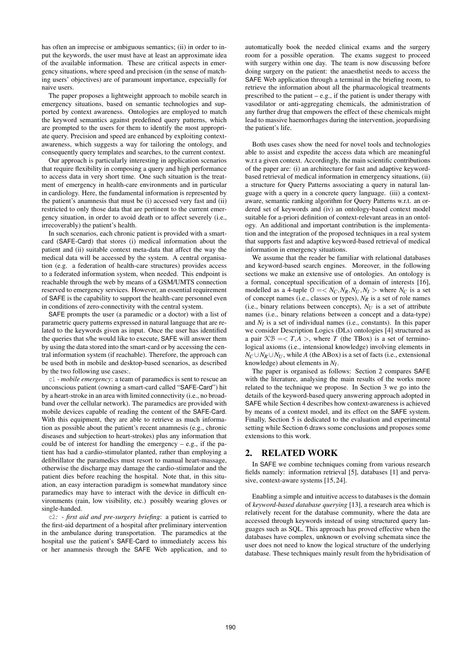has often an imprecise or ambiguous semantics; (ii) in order to input the keywords, the user must have at least an approximate idea of the available information. These are critical aspects in emergency situations, where speed and precision (in the sense of matching users' objectives) are of paramount importance, especially for naive users.

The paper proposes a lightweight approach to mobile search in emergency situations, based on semantic technologies and supported by context awareness. Ontologies are employed to match the keyword semantics against predefined query patterns, which are prompted to the users for them to identify the most appropriate query. Precision and speed are enhanced by exploiting contextawareness, which suggests a way for tailoring the ontology, and consequently query templates and searches, to the current context.

Our approach is particularly interesting in application scenarios that require flexibility in composing a query and high performance to access data in very short time. One such situation is the treatment of emergency in health-care environments and in particular in cardiology. Here, the fundamental information is represented by the patient's anamnesis that must be (i) accessed very fast and (ii) restricted to only those data that are pertinent to the current emergency situation, in order to avoid death or to affect severely (i.e., irrecoverably) the patient's health.

In such scenarios, each chronic patient is provided with a smartcard (SAFE-Card) that stores (i) medical information about the patient and (ii) suitable context meta-data that affect the way the medical data will be accessed by the system. A central organisation (e.g. a federation of health-care structures) provides access to a federated information system, when needed. This endpoint is reachable through the web by means of a GSM/UMTS connection reserved to emergency services. However, an essential requirement of SAFE is the capability to support the health-care personnel even in conditions of zero-connectivity with the central system.

SAFE prompts the user (a paramedic or a doctor) with a list of parametric query patterns expressed in natural language that are related to the keywords given as input. Once the user has identified the queries that s/he would like to execute, SAFE will answer them by using the data stored into the smart-card or by accessing the central information system (if reachable). Therefore, the approach can be used both in mobile and desktop-based scenarios, as described by the two following use cases:.

c1 *- mobile emergency*: a team of paramedics is sent to rescue an unconscious patient (owning a smart-card called "SAFE-Card") hit by a heart-stroke in an area with limited connectivity (i.e., no broadband over the cellular network). The paramedics are provided with mobile devices capable of reading the content of the SAFE-Card. With this equipment, they are able to retrieve as much information as possible about the patient's recent anamnesis (e.g., chronic diseases and subjection to heart-strokes) plus any information that could be of interest for handling the emergency  $-$  e.g., if the patient has had a cardio-stimulator planted, rather than employing a defibrillator the paramedics must resort to manual heart-massage, otherwise the discharge may damage the cardio-stimulator and the patient dies before reaching the hospital. Note that, in this situation, an easy interaction paradigm is somewhat mandatory since paramedics may have to interact with the device in difficult environments (rain, low visibility, etc.) possibly wearing gloves or single-handed.

c2*: - first aid and pre-surgery briefing*: a patient is carried to the first-aid department of a hospital after preliminary intervention in the ambulance during transportation. The paramedics at the hospital use the patient's SAFE-Card to immediately access his or her anamnesis through the SAFE Web application, and to

automatically book the needed clinical exams and the surgery room for a possible operation. The exams suggest to proceed with surgery within one day. The team is now discussing before doing surgery on the patient: the anaesthetist needs to access the SAFE Web application through a terminal in the briefing room, to retrieve the information about all the pharmacological treatments prescribed to the patient – e.g., if the patient is under therapy with vasodilator or anti-aggregating chemicals, the administration of any further drug that empowers the effect of these chemicals might lead to massive haemorrhages during the intervention, jeopardising the patient's life.

Both uses cases show the need for novel tools and technologies able to assist and expedite the access data which are meaningful w.r.t a given context. Accordingly, the main scientific contributions of the paper are: (i) an architecture for fast and adaptive keywordbased retrieval of medical information in emergency situations, (ii) a structure for Query Patterns associating a query in natural language with a query in a concrete query language. (iii) a contextaware, semantic ranking algorithm for Query Patterns w.r.t. an ordered set of keywords and (iv) an ontology-based context model suitable for a-priori definition of context-relevant areas in an ontology. An additional and important contribution is the implementation and the integration of the proposed techniques in a real system that supports fast and adaptive keyword-based retrieval of medical information in emergency situations.

We assume that the reader be familiar with relational databases and keyword-based search engines. Moreover, in the following sections we make an extensive use of ontologies. An ontology is a formal, conceptual specification of a domain of interests [16], modelled as a 4-tuple  $0 = \langle N_C, N_R, N_U, N_I \rangle$  where  $N_C$  is a set of concept names (i.e., classes or types), *NR* is a set of role names (i.e., binary relations between concepts),  $N_U$  is a set of attribute names (i.e., binary relations between a concept and a data-type) and  $N_I$  is a set of individual names (i.e., constants). In this paper we consider Description Logics (DLs) ontologies [4] structured as a pair  $\mathcal{KB} = \langle T, A \rangle$ , where *T* (the TBox) is a set of terminological axioms (i.e., intensional knowledge) involving elements in  $N_C \cup N_R \cup N_U$ , while *A* (the ABox) is a set of facts (i.e., extensional knowledge) about elements in *NI* .

The paper is organised as follows: Section 2 compares SAFE with the literature, analysing the main results of the works more related to the technique we propose. In Section 3 we go into the details of the keyword-based query answering approach adopted in SAFE while Section 4 describes how context-awareness is achieved by means of a context model, and its effect on the SAFE system. Finally, Section 5 is dedicated to the evaluation and experimental setting while Section 6 draws some conclusions and proposes some extensions to this work.

## 2. RELATED WORK

In SAFE we combine techniques coming from various research fields namely: information retrieval [5], databases [1] and pervasive, context-aware systems [15, 24].

Enabling a simple and intuitive access to databases is the domain of *keyword-based database querying* [13], a research area which is relatively recent for the database community, where the data are accessed through keywords instead of using structured query languages such as SQL. This approach has proved effective when the databases have complex, unknown or evolving schemata since the user does not need to know the logical structure of the underlying database. These techniques mainly result from the hybridisation of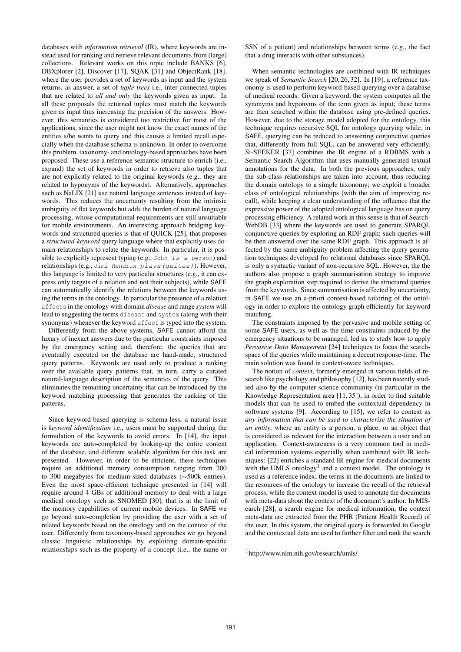databases with *information retrieval* (IR), where keywords are instead used for ranking and retrieve relevant documents from (large) collections. Relevant works on this topic include BANKS [6], DBXplorer [2], Discover [17], SQAK [31] and ObjectRank [18], where the user provides a set of keywords as input and the system returns, as answer, a set of *tuple-trees* i.e., inter-connected tuples that are related to *all and only* the keywords given as input. In all these proposals the returned tuples must match the keywords given as input thus increasing the precision of the answers. However, this semantics is considered too restrictive for most of the applications, since the user might not know the exact names of the entities s/he wants to query and this causes a limited recall especially when the database schema is unknown. In order to overcome this problem, taxonomy- and ontology-based approaches have been proposed. These use a reference semantic structure to enrich (i.e., expand) the set of keywords in order to retrieve also tuples that are not explicitly related to the original keywords (e.g., they are related to hyponyms of the keywords). Alternatively, approaches such as NaLIX [21] use natural language sentences instead of keywords. This reduces the uncertainty resulting from the intrinsic ambiguity of flat keywords but adds the burden of natural language processing, whose computational requirements are still unsuitable for mobile environments. An interesting approach bridging keywords and structured queries is that of QUICK [25], that proposes a *structured-keyword* query language where that explicitly uses domain relationships to relate the keywords. In particular, it is possible to explicitly represent typing (e.g., John  $is-a$  person) and relationships (e.g., Jimi Hendrix plays (guitar)). However, this language is limited to very particular structures (e.g., it can express only targets of a relation and not their subjects), while SAFE can automatically identify the relations between the keywords using the terms in the ontology. In particular the presence of a relation affects in the ontology with domain *disease* and range *system* will lead to suggesting the terms disease and system (along with their synonyms) whenever the keyword affect is typed into the system.

Differently from the above systems, SAFE cannot afford the luxury of inexact answers due to the particular constraints imposed by the emergency setting and, therefore, the queries that are eventually executed on the database are hand-made, structured query patterns. Keywords are used only to produce a ranking over the available query patterns that, in turn, carry a curated natural-language description of the semantics of the query. This eliminates the remaining uncertainty that can be introduced by the keyword matching processing that generates the ranking of the patterns.

Since keyword-based querying is schema-less, a natural issue is *keyword identification* i.e., users must be supported during the formulation of the keywords to avoid errors. In [14], the input keywords are auto-completed by looking-up the entire content of the database, and different scalable algorithm for this task are presented. However, in order to be efficient, these techniques require an additional memory consumption ranging from 200 to 300 megabytes for medium-sized databases (∼500k entries). Even the most space-efficient technique presented in [14] will require around 4 GBs of additional memory to deal with a large medical ontology such as SNOMED [30], that is at the limit of the memory capabilities of current mobile devices. In SAFE we go beyond auto-completion by providing the user with a set of related keywords based on the ontology and on the context of the user. Differently from taxonomy-based approaches we go beyond classic linguistic relationships by exploiting domain-specific relationships such as the property of a concept (i.e., the name or

SSN of a patient) and relationships between terms (e.g., the fact that a drug interacts with other substances).

When semantic technologies are combined with IR techniques we speak of *Semantic Search* [20, 26, 32]. In [19], a reference taxonomy is used to perform keyword-based querying over a database of medical records. Given a keyword, the system computes all the synonyms and hyponyms of the term given as input; these terms are then searched within the database using pre-defined queries. However, due to the storage model adopted for the ontology, this technique requires recursive SQL for ontology querying while, in SAFE, querying can be reduced to answering conjunctive queries that, differently from full SQL, can be answered very efficiently. Si-SEEKER [37] combines the IR engine of a RDBMS with a Semantic Search Algorithm that uses manually-generated textual annotations for the data. In both the previous approaches, only the sub-class relationships are taken into account, thus reducing the domain ontology to a simple taxonomy; we exploit a broader class of ontological relationships (with the aim of improving recall), while keeping a clear understanding of the influence that the expressive power of the adopted ontological language has on query processing efficiency. A related work in this sense is that of Search-WebDB [33] where the keywords are used to generate SPARQL conjunctive queries by exploring an RDF graph; such queries will be then answered over the same RDF graph. This approach is affected by the same ambiguity problem affecting the query generation techniques developed for relational databases since SPARQL is only a syntactic variant of non-recursive SQL. However, the the authors also propose a graph summarisation strategy to improve the graph exploration step required to derive the structured queries from the keywords. Since summarisation is affected by uncertainty, in SAFE we use an a-priori context-based tailoring of the ontology in order to explore the ontology graph efficiently for keyword matching.

The constraints imposed by the pervasive and mobile setting of some SAFE users, as well as the time constraints induced by the emergency situations to be managed, led us to study how to apply *Pervasive Data Management* [24] techniques to focus the searchspace of the queries while maintaining a decent response-time. The main solution was found in context-aware techniques.

The notion of *context*, formerly emerged in various fields of research like psychology and philosophy [12], has been recently studied also by the computer science community (in particular in the Knowledge Representation area [11, 35]), in order to find suitable models that can be used to embed the contextual dependency in software systems [9]. According to [15], we refer to context as *any information that can be used to characterise the situation of an entity*, where an entity is a person, a place, or an object that is considered as relevant for the interaction between a user and an application. Context-awareness is a very common tool in medical information systems especially when combined with IR techniques: [22] enriches a standard IR engine for medical documents with the UMLS ontology<sup>1</sup> and a context model. The ontology is used as a reference index; the terms in the documents are linked to the resources of the ontology to increase the recall of the retrieval process, while the context-model is used to annotate the documents with meta-data about the context of the document's author. In MISearch [28], a search engine for medical information, the context meta-data are extracted from the PHR (Patient Health Record) of the user. In this system, the original query is forwarded to Google and the contextual data are used to further filter and rank the search

<sup>1</sup>http://www.nlm.nih.gov/research/umls/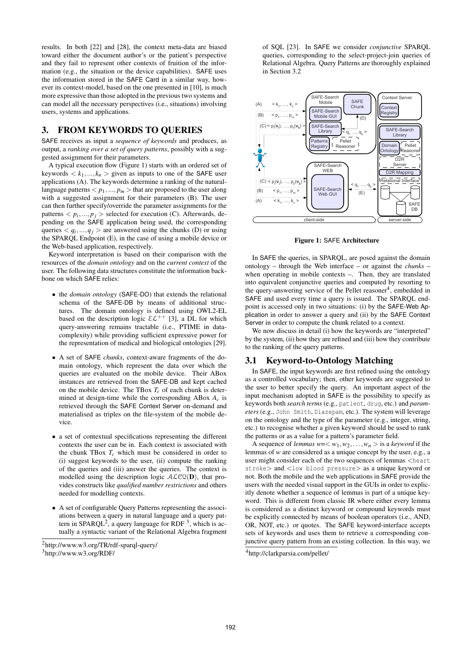results. In both [22] and [28], the context meta-data are biased toward either the document author's or the patient's perspective and they fail to represent other contexts of fruition of the information (e.g., the situation or the device capabilities). SAFE uses the information stored in the SAFE Card in a similar way, however its context-model, based on the one presented in [10], is much more expressive than those adopted in the previous two systems and can model all the necessary perspectives (i.e., situations) involving users, systems and applications.

# 3. FROM KEYWORDS TO QUERIES

SAFE receives as input a *sequence of keywords* and produces, as output, a *ranking over a set of query patterns*, possibly with a suggested assignment for their parameters.

A typical execution flow (Figure 1) starts with an ordered set of keywords  $\langle k_1,...,k_n \rangle$  given as inputs to one of the SAFE user applications (A). The keywords determine a ranking of the naturallanguage patterns  $\langle p_1,...,p_m \rangle$  that are proposed to the user along with a suggested assignment for their parameters (B). The user can then further specify/override the parameter assignments for the patterns  $\langle p_i, ..., p_j \rangle$  selected for execution (C). Afterwards, depending on the SAFE application being used, the corresponding queries  $\langle q_i, ..., q_j \rangle$  are answered using the chunks (D) or using the SPARQL Endpoint (E), in the case of using a mobile device or the Web-based application, respectively.

Keyword interpretation is based on their comparison with the resources of the *domain ontology* and on the *current context* of the user. The following data structures constitute the information backbone on which SAFE relies:

- the *domain ontology* (SAFE-DO) that extends the relational schema of the SAFE-DB by means of additional structures. The domain ontology is defined using OWL2-EL based on the description logic  $\mathcal{EL}^{++}$  [3], a DL for which query-answering remains tractable (i.e., PTIME in datacomplexity) while providing sufficient expressive power for the representation of medical and biological ontologies [29].
- A set of SAFE *chunks*, context-aware fragments of the domain ontology, which represent the data over which the queries are evaluated on the mobile device. Their ABox instances are retrieved from the SAFE-DB and kept cached on the mobile device. The TBox  $T_c$  of each chunk is determined at design-time while the corresponding ABox *Ac* is retrieved through the SAFE Context Server on-demand and materialised as triples on the file-system of the mobile device.
- a set of contextual specifications representing the different contexts the user can be in. Each context is associated with the chunk TBox *Tc* which must be considered in order to (i) suggest keywords to the user, (ii) compute the ranking of the queries and (iii) answer the queries. The context is modelled using the description logic  $ALCO(D)$ , that provides constructs like *qualified number restrictions* and others needed for modelling contexts.
- A set of configurable Query Patterns representing the associations between a query in natural language and a query pattern in SPARQL<sup>2</sup>, a query language for RDF<sup>3</sup>, which is actually a syntactic variant of the Relational Algebra fragment

of SQL [23]. In SAFE we consider *conjunctive* SPARQL queries, corresponding to the select-project-join queries of Relational Algebra. Query Patterns are thoroughly explained in Section 3.2



Figure 1: SAFE Architecture

In SAFE the queries, in SPARQL, are posed against the domain ontology – through the Web interface – or against the *chunks* – when operating in mobile contexts –. Then, they are translated into equivalent conjunctive queries and computed by resorting to the query-answering service of the Pellet reasoner<sup>4</sup>, embedded in SAFE and used every time a query is issued. The SPARQL endpoint is accessed only in two situations: (i) by the SAFE-Web Application in order to answer a query and (ii) by the SAFE Context Server in order to compute the chunk related to a context.

We now discuss in detail (i) how the keywords are "interpreted" by the system, (ii) how they are refined and (iii) how they contribute to the ranking of the query patterns.

## 3.1 Keyword-to-Ontology Matching

In SAFE, the input keywords are first refined using the ontology as a controlled vocabulary; then, other keywords are suggested to the user to better specify the query. An important aspect of the input mechanism adopted in SAFE is the possibility to specify as keywords both *search terms* (e.g., patient, drug, etc.) and *parameters* (e.g., John Smith, Diazepam, etc.). The system will leverage on the ontology and the type of the parameter (e.g., integer, string, etc.) to recognise whether a given keyword should be used to rank the patterns or as a value for a pattern's parameter field.

A sequence of *lemmas*  $w = \langle w_1, w_2, \dots, w_n \rangle$  is a *keyword* if the lemmas of *w* are considered as a unique concept by the user, e.g., a user might consider each of the two sequences of lemmas <heart stroke> and <low blood pressure> as a unique keyword or not. Both the mobile and the web applications in SAFE provide the users with the needed visual support in the GUIs in order to explicitly denote whether a sequence of lemmas is part of a unique keyword. This is different from classic IR where either every lemma is considered as a distinct keyword or compound keywords must be explicitly connected by means of boolean operators (i.e., AND, OR, NOT, etc.) or quotes. The SAFE keyword-interface accepts sets of keywords and uses them to retrieve a corresponding conjunctive query pattern from an existing collection. In this way, we

<sup>2</sup>http://www.w3.org/TR/rdf-sparql-query/

<sup>3</sup>http://www.w3.org/RDF/

<sup>4</sup>http://clarkparsia.com/pellet/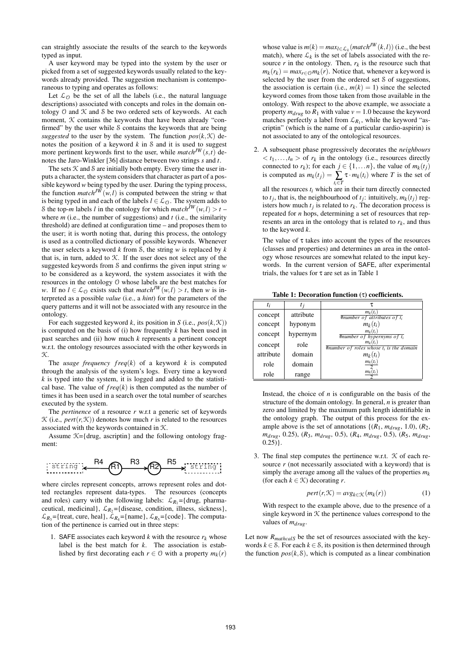can straightly associate the results of the search to the keywords typed as input.

A user keyword may be typed into the system by the user or picked from a set of suggested keywords usually related to the keywords already provided. The suggestion mechanism is contemporaneous to typing and operates as follows:

Let  $\mathcal{L}_{\mathcal{O}}$  be the set of all the labels (i.e., the natural language descriptions) associated with concepts and roles in the domain ontology  $\theta$  and  $\mathcal K$  and  $\mathcal S$  be two ordered sets of keywords. At each moment, K contains the keywords that have been already "confirmed" by the user while S contains the keywords that are being *suggested* to the user by the system. The function  $pos(k, \mathcal{K})$  denotes the position of a keyword *k* in S and it is used to suggest more pertinent keywords first to the user, while  $match^{JW}(s,t)$  denotes the Jaro-Winkler [36] distance between two strings *s* and *t*.

The sets  $K$  and  $S$  are initially both empty. Every time the user inputs a character, the system considers that character as part of a possible keyword *w* being typed by the user. During the typing process, the function  $match^{J\overline{W}}(w, l)$  is computed between the string *w* that is being typed in and each of the labels  $l \in \mathcal{L}_{\Omega}$ . The system adds to S the top-*m* labels *l* in the ontology for which *match*<sup>*JW*</sup> (*w*,*l*) > *t* – where *m* (i.e., the number of suggestions) and *t* (i.e., the similarity threshold) are defined at configuration time – and proposes them to the user; it is worth noting that, during this process, the ontology is used as a controlled dictionary of possible keywords. Whenever the user selects a keyword *k* from S, the string *w* is replaced by *k* that is, in turn, added to  $K$ . If the user does not select any of the suggested keywords from S and confirms the given input string *w* to be considered as a keyword, the system associates it with the resources in the ontology O whose labels are the best matches for *w*. If no  $l \in \mathcal{L}_{\Omega}$  exists such that *match*<sup>*JW*</sup> (*w*,*l*) > *t*, then *w* is interpreted as a possible *value* (i.e., a *hint*) for the parameters of the query patterns and it will not be associated with any resource in the ontology.

For each suggested keyword *k*, its position in *S* (i.e.,  $pos(k, \mathcal{K})$ ) is computed on the basis of (i) how frequently *k* has been used in past searches and (ii) how much *k* represents a pertinent concept w.r.t. the ontology resources associated with the other keywords in K.

The *usage frequency freq(k)* of a keyword  $k$  is computed through the analysis of the system's logs. Every time a keyword *k* is typed into the system, it is logged and added to the statistical base. The value of  $freq(k)$  is then computed as the number of times it has been used in a search over the total number of searches executed by the system.

The *pertinence* of a resource *r* w.r.t a generic set of keywords  $K$  (i.e., *pert*( $r$ ,  $K$ )) denotes how much  $r$  is related to the resources associated with the keywords contained in K.

Assume  $K=\{drug, ascriptin\}$  and the following ontology fragment:



where circles represent concepts, arrows represent roles and dotted rectangles represent data-types. The resources (concepts and roles) carry with the following labels:  $\mathcal{L}_{R_1} = \{ \text{drug}, \text{pharma} \}$ ceutical, medicinal},  $\mathcal{L}_{R_2}$ ={disease, condition, illness, sickness},  $\mathcal{L}_{R_3}$ ={treat, cure, heal},  $\mathcal{L}_{R_4}$ ={name},  $\mathcal{L}_{R_5}$ ={code}. The computation of the pertinence is carried out in three steps:

1. SAFE associates each keyword  $k$  with the resource  $r_k$  whose label is the best match for *k*. The association is established by first decorating each  $r \in \mathcal{O}$  with a property  $m_k(r)$ 

whose value is  $m(k) = max_{l \in \mathcal{L}_k} (match^{JW}(k, l))$  (i.e., the best match), where  $\mathcal{L}_k$  is the set of labels associated with the resource  $r$  in the ontology. Then,  $r_k$  is the resource such that  $m_k(r_k) = max_{r \in \Omega} m_k(r)$ . Notice that, whenever a keyword is selected by the user from the ordered set S of suggestions, the association is certain (i.e.,  $m(k) = 1$ ) since the selected keyword comes from those taken from those available in the ontology. With respect to the above example, we associate a property  $m_{drug}$  to  $R_1$  with value  $v = 1.0$  because the keyword matches perfectly a label from  $\mathcal{L}_{R_1}$ , while the keyword "ascriptin" (which is the name of a particular cardio-aspirin) is not associated to any of the ontological resources.

2. A subsequent phase progressively decorates the *neighbours*  $lt t_1, \ldots, t_n >$  of  $r_k$  in the ontology (i.e., resources directly connected to  $r_k$ ); for each  $j \in \{1, \ldots n\}$ , the value of  $m_k(t_j)$ is computed as  $m_k(t_j) = \sum_{t_i \in T}$  $\tau \cdot m_k(t_i)$  where *T* is the set of all the resources  $t_i$  which are in their turn directly connected to  $t_j$ , that is, the neighbourhood of  $t_j$ : intuitively,  $m_k(t_j)$  registers how much  $t_j$  is related to  $r_k$ . The decoration process is repeated for *n* hops, determining a set of resources that rep-

resents an area in the ontology that is related to  $r_k$ , and thus to the keyword *k*. The value of  $\tau$  takes into account the types of the resources (classes and properties) and determines an area in the ontology whose resources are somewhat related to the input key-

words. In the current version of SAFE, after experimental

Table 1: Decoration function (τ) coefficients.

trials, the values for  $\tau$  are set as in Table 1

| t;        |           |                                                                            |
|-----------|-----------|----------------------------------------------------------------------------|
| concept   | attribute | $m_k(t_i)$<br>$\frac{1}{2}$ #number of attributes of $t_i$                 |
| concept   | hyponym   | $m_k(t_i)$                                                                 |
| concept   | hypernym  | $m_k(t_i)$<br>$\frac{1}{2}$ #number of hypernyms of t <sub>i</sub>         |
| concept   | role      | m <sub>k</sub><br>$\frac{1}{2}$ #number of roles whose $t_i$ is the domain |
| attribute | domain    | $m_k(t_i)$                                                                 |
| role      | domain    | $m_k(t_i)$                                                                 |
| role      | range     | m <sub>k</sub>                                                             |

Instead, the choice of *n* is configurable on the basis of the structure of the domain ontology. In general, *n* is greater than zero and limited by the maximum path length identifiable in the ontology graph. The output of this process for the example above is the set of annotations  $\{(R_1, m_{drug}, 1.0), (R_2,$ *mdrug*, 0.25), (*R*3, *mdrug*, 0.5), (*R*4, *mdrug*, 0.5), (*R*5, *mdrug*,  $(0.25)$ .

3. The final step computes the pertinence w.r.t. K of each resource *r* (not necessarily associated with a keyword) that is simply the average among all the values of the properties *m<sup>k</sup>* (for each  $k \in \mathcal{K}$ ) decorating *r*.

$$
pert(r, \mathcal{K}) = avg_{k \in \mathcal{K}}(m_k(r))
$$
 (1)

With respect to the example above, due to the presence of a single keyword in  $K$  the pertinence values correspond to the values of *mdrug*.

Let now *RmathcalS* be the set of resources associated with the keywords  $k \in \mathcal{S}$ . For each  $k \in \mathcal{S}$ , its position is then determined through the function  $pos(k, \mathcal{S})$ , which is computed as a linear combination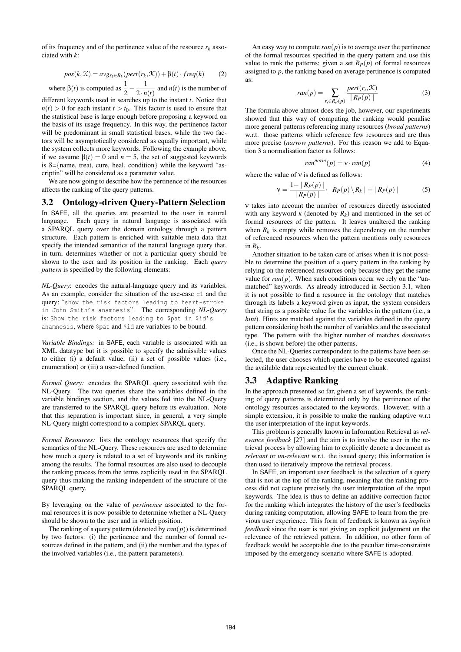of its frequency and of the pertinence value of the resource  $r_k$  associated with *k*:

$$
pos(k, \mathcal{K}) = avg_{r_k \in R_k}(pert(r_k, \mathcal{K})) + \beta(t) \cdot freq(k)
$$
 (2)

where  $\beta(t)$  is computed as  $\frac{1}{2} - \frac{1}{2 \cdot n}$  $\frac{1}{2 \cdot n(t)}$  and *n*(*t*) is the number of different keywords used in searches up to the instant *t*. Notice that  $n(t) > 0$  for each instant  $t > t_0$ . This factor is used to ensure that the statistical base is large enough before proposing a keyword on the basis of its usage frequency. In this way, the pertinence factor will be predominant in small statistical bases, while the two factors will be asymptotically considered as equally important, while

the system collects more keywords. Following the example above, if we assume  $\beta(t) = 0$  and  $n = 5$ , the set of suggested keywords is S={name, treat, cure, heal, condition} while the keyword "ascriptin" will be considered as a parameter value.

We are now going to describe how the pertinence of the resources affects the ranking of the query patterns.

## 3.2 Ontology-driven Query-Pattern Selection

In SAFE, all the queries are presented to the user in natural language. Each query in natural language is associated with a SPARQL query over the domain ontology through a pattern structure. Each pattern is enriched with suitable meta-data that specify the intended semantics of the natural language query that, in turn, determines whether or not a particular query should be shown to the user and its position in the ranking. Each *query pattern* is specified by the following elements:

*NL-Query*: encodes the natural-language query and its variables. As an example, consider the situation of the use-case c1 and the query: "show the risk factors leading to heart-stroke in John Smith's anamnesis". The corresponding *NL-Query* is: Show the risk factors leading to \$pat in \$id's anamnesis, where \$pat and \$id are variables to be bound.

*Variable Bindings:* in SAFE, each variable is associated with an XML datatype but it is possible to specify the admissible values to either (i) a default value, (ii) a set of possible values (i.e., enumeration) or (iii) a user-defined function.

*Formal Query:* encodes the SPARQL query associated with the NL-Query. The two queries share the variables defined in the variable bindings section, and the values fed into the NL-Query are transferred to the SPARQL query before its evaluation. Note that this separation is important since, in general, a very simple NL-Query might correspond to a complex SPARQL query.

*Formal Resources:* lists the ontology resources that specify the semantics of the NL-Query. These resources are used to determine how much a query is related to a set of keywords and its ranking among the results. The formal resources are also used to decouple the ranking process from the terms explicitly used in the SPARQL query thus making the ranking independent of the structure of the SPARQL query.

By leveraging on the value of *pertinence* associated to the formal resources it is now possible to determine whether a NL-Query should be shown to the user and in which position.

The ranking of a query pattern (denoted by  $ran(p)$ ) is determined by two factors: (i) the pertinence and the number of formal resources defined in the pattern, and (ii) the number and the types of the involved variables (i.e., the pattern parameters).

An easy way to compute  $ran(p)$  is to average over the pertinence of the formal resources specified in the query pattern and use this value to rank the patterns; given a set  $R_P(p)$  of formal resources assigned to *p*, the ranking based on average pertinence is computed as:

$$
ran(p) = \sum_{r_i \in R_P(p)} \frac{pert(r_i, \mathcal{K})}{|R_P(p)|} \tag{3}
$$

The formula above almost does the job, however, our experiments showed that this way of computing the ranking would penalise more general patterns referencing many resources (*broad patterns*) w.r.t. those patterns which reference few resources and are thus more precise (*narrow patterns*). For this reason we add to Equation 3 a normalisation factor as follows:

$$
ran^{norm}(p) = \mathbf{v} \cdot ran(p) \tag{4}
$$

where the value of v is defined as follows:

$$
\mathsf{v} = \frac{1 - |R_P(p)|}{|R_P(p)|} \cdot |R_P(p) \setminus R_k| + |R_P(p)| \tag{5}
$$

ν takes into account the number of resources directly associated with any keyword  $k$  (denoted by  $R_k$ ) and mentioned in the set of formal resources of the pattern. It leaves unaltered the ranking when  $R_k$  is empty while removes the dependency on the number of referenced resources when the pattern mentions only resources in *R<sup>k</sup>* .

Another situation to be taken care of arises when it is not possible to determine the position of a query pattern in the ranking by relying on the referenced resources only because they get the same value for  $ran(p)$ . When such conditions occur we rely on the "unmatched" keywords. As already introduced in Section 3.1, when it is not possible to find a resource in the ontology that matches through its labels a keyword given as input, the system considers that string as a possible value for the variables in the pattern (i.e., a *hint*). Hints are matched against the variables defined in the query pattern considering both the number of variables and the associated type. The pattern with the higher number of matches *dominates* (i.e., is shown before) the other patterns.

Once the NL-Queries correspondent to the patterns have been selected, the user chooses which queries have to be executed against the available data represented by the current chunk.

## 3.3 Adaptive Ranking

In the approach presented so far, given a set of keywords, the ranking of query patterns is determined only by the pertinence of the ontology resources associated to the keywords. However, with a simple extension, it is possible to make the ranking adaptive w.r.t the user interpretation of the input keywords.

This problem is generally known in Information Retrieval as *relevance feedback* [27] and the aim is to involve the user in the retrieval process by allowing him to explicitly denote a document as *relevant* or *un-relevant* w.r.t. the issued query; this information is then used to iteratively improve the retrieval process.

In SAFE, an important user feedback is the selection of a query that is not at the top of the ranking, meaning that the ranking process did not capture precisely the user interpretation of the input keywords. The idea is thus to define an additive correction factor for the ranking which integrates the history of the user's feedbacks during ranking computation, allowing SAFE to learn from the previous user experience. This form of feedback is known as *implicit feedback* since the user is not giving an explicit judgement on the relevance of the retrieved pattern. In addition, no other form of feedback would be acceptable due to the peculiar time-constraints imposed by the emergency scenario where SAFE is adopted.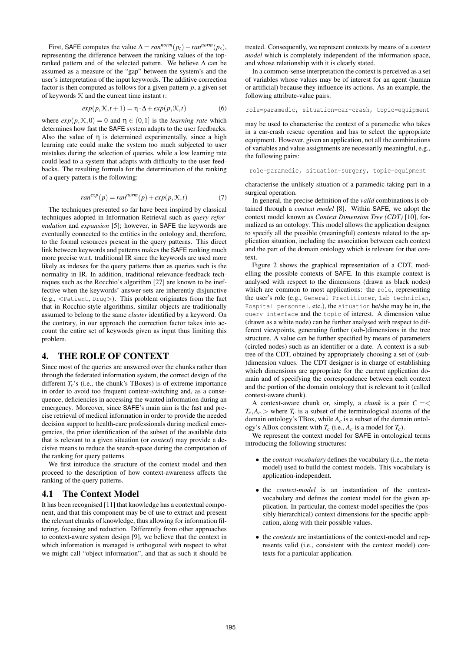First, SAFE computes the value  $\Delta = \text{ran}^{\text{norm}}(p_t) - \text{ran}^{\text{norm}}(p_s)$ , representing the difference between the ranking values of the topranked pattern and of the selected pattern. We believe ∆ can be assumed as a measure of the "gap" between the system's and the user's interpretation of the input keywords. The additive correction factor is then computed as follows for a given pattern  $p$ , a given set of keywords K and the current time instant *t*:

$$
exp(p, \mathcal{K}, t+1) = \eta \cdot \Delta + exp(p, \mathcal{K}, t)
$$
 (6)

where  $exp(p, \mathcal{K}, 0) = 0$  and  $\eta \in (0, 1]$  is the *learning rate* which determines how fast the SAFE system adapts to the user feedbacks. Also the value of  $\eta$  is determined experimentally, since a high learning rate could make the system too much subjected to user mistakes during the selection of queries, while a low learning rate could lead to a system that adapts with difficulty to the user feedbacks. The resulting formula for the determination of the ranking of a query pattern is the following:

$$
ran^{exp}(p) = ran^{norm}(p) + exp(p, \mathcal{K}, t)
$$
\n(7)

The techniques presented so far have been inspired by classical techniques adopted in Information Retrieval such as *query reformulation* and *expansion* [5]; however, in SAFE the keywords are eventually connected to the entities in the ontology and, therefore, to the formal resources present in the query patterns. This direct link between keywords and patterns makes the SAFE ranking much more precise w.r.t. traditional IR since the keywords are used more likely as indexes for the query patterns than as queries such is the normality in IR. In addition, traditional relevance-feedback techniques such as the Rocchio's algorithm [27] are known to be ineffective when the keywords' answer-sets are inherently disjunctive (e.g., <Patient, Drug>). This problem originates from the fact that in Rocchio-style algorithms, similar objects are traditionally assumed to belong to the same *cluster* identified by a keyword. On the contrary, in our approach the correction factor takes into account the entire set of keywords given as input thus limiting this problem.

#### 4. THE ROLE OF CONTEXT

Since most of the queries are answered over the chunks rather than through the federated information system, the correct design of the different  $T_c$ 's (i.e., the chunk's TBoxes) is of extreme importance in order to avoid too frequent context-switching and, as a consequence, deficiencies in accessing the wanted information during an emergency. Moreover, since SAFE's main aim is the fast and precise retrieval of medical information in order to provide the needed decision support to health-care professionals during medical emergencies, the prior identification of the subset of the available data that is relevant to a given situation (or *context*) may provide a decisive means to reduce the search-space during the computation of the ranking for query patterns.

We first introduce the structure of the context model and then proceed to the description of how context-awareness affects the ranking of the query patterns.

#### 4.1 The Context Model

It has been recognised [11] that knowledge has a contextual component, and that this component may be of use to extract and present the relevant chunks of knowledge, thus allowing for information filtering, focusing and reduction. Differently from other approaches to context-aware system design [9], we believe that the context in which information is managed is orthogonal with respect to what we might call "object information", and that as such it should be

treated. Consequently, we represent contexts by means of a *context model* which is completely independent of the information space, and whose relationship with it is clearly stated.

In a common-sense interpretation the context is perceived as a set of variables whose values may be of interest for an agent (human or artificial) because they influence its actions. As an example, the following attribute-value pairs:

role=paramedic, situation=car-crash, topic=equipment

may be used to characterise the context of a paramedic who takes in a car-crash rescue operation and has to select the appropriate equipment. However, given an application, not all the combinations of variables and value assignments are necessarily meaningful, e.g., the following pairs:

```
role=paramedic, situation=surgery, topic=equipment
```
characterise the unlikely situation of a paramedic taking part in a surgical operation.

In general, the precise definition of the *valid* combinations is obtained through a *context model* [8]. Within SAFE, we adopt the context model known as *Context Dimension Tree (CDT)* [10], formalized as an ontology. This model allows the application designer to specify all the possible (meaningful) contexts related to the application situation, including the association between each context and the part of the domain ontology which is relevant for that context.

Figure 2 shows the graphical representation of a CDT, modelling the possible contexts of SAFE. In this example context is analysed with respect to the dimensions (drawn as black nodes) which are common to most applications: the role, representing the user's role (e.g., General Practitioner, Lab technician, Hospital personnel, etc.), the situation he/she may be in, the query interface and the topic of interest. A dimension value (drawn as a white node) can be further analysed with respect to different viewpoints, generating further (sub-)dimensions in the tree structure. A value can be further specified by means of parameters (circled nodes) such as an identifier or a date. A context is a subtree of the CDT, obtained by appropriately choosing a set of (sub- )dimension values. The CDT designer is in charge of establishing which dimensions are appropriate for the current application domain and of specifying the correspondence between each context and the portion of the domain ontology that is relevant to it (called context-aware chunk).

A context-aware chunk or, simply, a *chunk* is a pair  $C = \langle$  $T_c$ , $A_c$  > where  $T_c$  is a subset of the terminological axioms of the domain ontology's TBox, while *Ac* is a subset of the domain ontology's ABox consistent with  $T_c$  (i.e.,  $A_c$  is a model for  $T_c$ ).

We represent the context model for SAFE in ontological terms introducing the following structures:

- the *context-vocabulary* defines the vocabulary (i.e., the metamodel) used to build the context models. This vocabulary is application-independent.
- the *context-model* is an instantiation of the contextvocabulary and defines the context model for the given application. In particular, the context-model specifies the (possibly hierarchical) context dimensions for the specific application, along with their possible values.
- the *contexts* are instantiations of the context-model and represents valid (i.e., consistent with the context model) contexts for a particular application.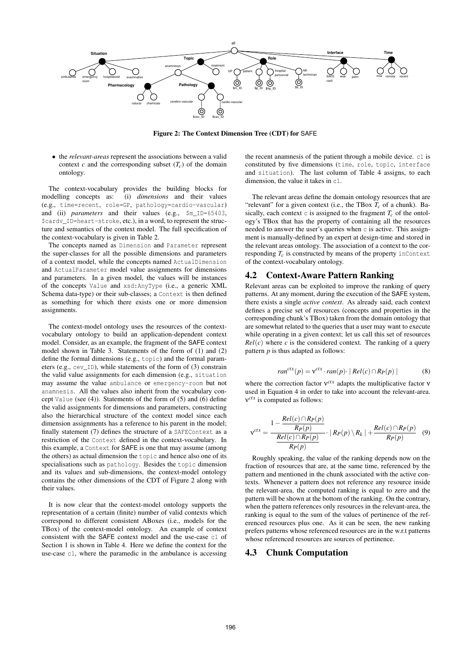

Figure 2: The Context Dimension Tree (CDT) for SAFE

• the *relevant-areas* represent the associations between a valid context *c* and the corresponding subset  $(T_c)$  of the domain ontology.

The context-vocabulary provides the building blocks for modelling concepts as: (i) *dimensions* and their values (e.g., time=recent, role=GP, pathology=cardio-vascular) and (ii) *parameters* and their values (e.g., \$m\_ID=65403, \$cardv\_ID=heart-stroke, etc.), in a word, to represent the structure and semantics of the context model. The full specification of the context-vocabulary is given in Table 2.

The concepts named as Dimension and Parameter represent the super-classes for all the possible dimensions and parameters of a context model, while the concepts named ActualDimension and ActualParameter model value assignments for dimensions and parameters. In a given model, the values will be instances of the concepts Value and xsd:AnyType (i.e., a generic XML Schema data-type) or their sub-classes; a Context is then defined as something for which there exists one or more dimension assignments.

The context-model ontology uses the resources of the contextvocabulary ontology to build an application-dependent context model. Consider, as an example, the fragment of the SAFE context model shown in Table 3. Statements of the form of (1) and (2) define the formal dimensions (e.g., topic) and the formal parameters (e.g., cev\_ID), while statements of the form of (3) constrain the valid value assignments for each dimension (e.g., situation may assume the value ambulance or emergency-room but not anamnesis. All the values also inherit from the vocabulary concept Value (see (4)). Statements of the form of (5) and (6) define the valid assignments for dimensions and parameters, constructing also the hierarchical structure of the context model since each dimension assignments has a reference to his parent in the model; finally statement (7) defines the structure of a SAFEContext as a restriction of the Context defined in the context-vocabulary. In this example, a Context for SAFE is one that may assume (among the others) as actual dimension the topic and hence also one of its specialisations such as pathology. Besides the topic dimension and its values and sub-dimensions, the context-model ontology contains the other dimensions of the CDT of Figure 2 along with their values.

It is now clear that the context-model ontology supports the representation of a certain (finite) number of valid contexts which correspond to different consistent ABoxes (i.e., models for the TBox) of the context-model ontology. An example of context consistent with the SAFE context model and the use-case c1 of Section 1 is shown in Table 4. Here we define the context for the use-case c1, where the paramedic in the ambulance is accessing the recent anamnesis of the patient through a mobile device. c1 is constituted by five dimensions (time, role, topic, interface and situation). The last column of Table 4 assigns, to each dimension, the value it takes in c1.

The relevant areas define the domain ontology resources that are "relevant" for a given context (i.e., the TBox  $T_c$  of a chunk). Basically, each context c is assigned to the fragment  $T_c$  of the ontology's TBox that has the property of containing all the resources needed to answer the user's queries when c is active. This assignment is manually-defined by an expert at design-time and stored in the relevant areas ontology. The association of a context to the corresponding  $T_c$  is constructed by means of the property inContext of the context-vocabulary ontology.

## 4.2 Context-Aware Pattern Ranking

Relevant areas can be exploited to improve the ranking of query patterns. At any moment, during the execution of the SAFE system, there exists a single *active context*. As already said, each context defines a precise set of resources (concepts and properties in the corresponding chunk's TBox) taken from the domain ontology that are somewhat related to the queries that a user may want to execute while operating in a given context; let us call this set of resources  $Rel(c)$  where *c* is the considered context. The ranking of a query pattern *p* is thus adapted as follows:

$$
ran^{ctx}(p) = \mathbf{v}^{ctx} \cdot ran(p) \cdot | Rel(c) \cap R_P(p) | \tag{8}
$$

where the correction factor  $ν^{ctx}$  adapts the multiplicative factor ν used in Equation 4 in order to take into account the relevant-area. ν *ctx* is computed as follows:

$$
\mathbf{v}^{ctx} = \frac{1 - \frac{Rel(c) \cap R_P(p)}{R_P(p)}}{\frac{Rel(c) \cap R_P(p)}{R_P(p)}} \cdot |R_P(p) \setminus R_k| + \frac{Rel(c) \cap R_P(p)}{R_P(p)} \quad (9)
$$

Roughly speaking, the value of the ranking depends now on the fraction of resources that are, at the same time, referenced by the pattern and mentioned in the chunk associated with the active contexts. Whenever a pattern does not reference any resource inside the relevant-area, the computed ranking is equal to zero and the pattern will be shown at the bottom of the ranking. On the contrary, when the pattern references only resources in the relevant-area, the ranking is equal to the sum of the values of pertinence of the referenced resources plus one. As it can be seen, the new ranking prefers patterns whose referenced resources are in the w.r.t patterns whose referenced resources are sources of pertinence.

#### 4.3 Chunk Computation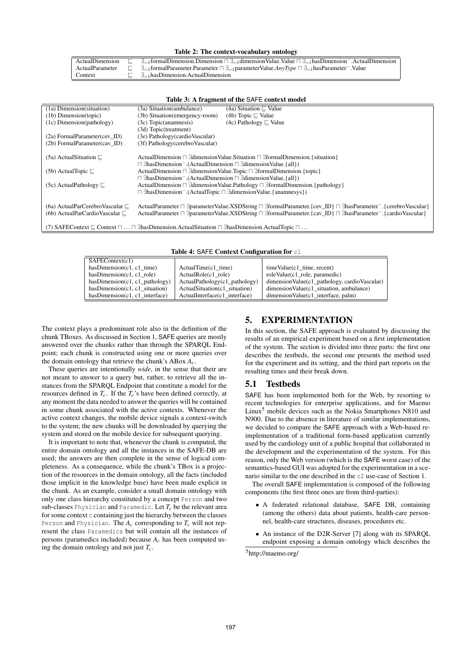#### Table 2: The context-vocabulary ontology

| ActualDimension | $\exists$ -1 formalDimension.Dimension $\Box$ $\exists$ -1 dimension Value. Value $\Box$ $\exists$ -1 hasDimension $\Box$ ActualDimension |
|-----------------|-------------------------------------------------------------------------------------------------------------------------------------------|
| ActualParameter | $\exists_{-1}$ formalParameter.Parameter $\Box$ $\exists_{-1}$ parameterValue.AnyType $\Box \exists_{-1}$ hasParameter $\Box$ Value       |
| Context         | $\exists$ <sub>-1</sub> hasDimension.ActualDimension                                                                                      |

|  |  | Table 3: A fragment of the SAFE context model |  |  |  |  |
|--|--|-----------------------------------------------|--|--|--|--|
|--|--|-----------------------------------------------|--|--|--|--|

| $(1a)$ Dimension(situation)                                                                                                              | (3a) Situation(ambulance)                                                                              | $(4a)$ Situation $\Box$ Value                                                                                                                              |  |  |
|------------------------------------------------------------------------------------------------------------------------------------------|--------------------------------------------------------------------------------------------------------|------------------------------------------------------------------------------------------------------------------------------------------------------------|--|--|
| $(1b)$ Dimension $(topic)$                                                                                                               | (3b) Situation (emergency-room)                                                                        | $(4b)$ Topic $\Box$ Value                                                                                                                                  |  |  |
| $(1c)$ Dimension(pathology)                                                                                                              | (3c) Topic(anamnesis)                                                                                  | $(4c)$ Pathology $\Box$ Value                                                                                                                              |  |  |
|                                                                                                                                          | (3d) Topic(treatment)                                                                                  |                                                                                                                                                            |  |  |
| (2a) FormalParameter(cev ID)                                                                                                             | (3e) Pathology (cardio Vascular)                                                                       |                                                                                                                                                            |  |  |
| $(2b)$ FormalParameter(cav ID)                                                                                                           | (3f) Pathology (cerebro Vascular)                                                                      |                                                                                                                                                            |  |  |
|                                                                                                                                          |                                                                                                        |                                                                                                                                                            |  |  |
| (5a) Actual Situation $\Box$                                                                                                             |                                                                                                        | ActualDimension $\Box$ 3dimensionValue.Situation $\Box$ 3formalDimension.{situation}                                                                       |  |  |
|                                                                                                                                          | $\Box$ $\exists$ hasDimension $\Box$ (ActualDimension $\Box$ $\exists$ dimensionValue.{all})           |                                                                                                                                                            |  |  |
| $(5b)$ ActualTopic $\Box$                                                                                                                | ActualDimension □ ∃dimensionValue.Topic □ ∃formalDimension.{topic}                                     |                                                                                                                                                            |  |  |
|                                                                                                                                          | $\Box$ 3hasDimension $\Box$ (ActualDimension $\Box$ 3dimension Value. {all })                          |                                                                                                                                                            |  |  |
| $(5c)$ ActualPathology $\Box$                                                                                                            | ActualDimension $\Box$ $\exists$ dimensionValue.Pathology $\Box$ $\exists$ formalDimension.{pathology} |                                                                                                                                                            |  |  |
|                                                                                                                                          | $\Box$ $\exists$ hasDimension $\Box$ (ActualTopic $\Box$ $\exists$ dimension Value. {anamnesys})       |                                                                                                                                                            |  |  |
|                                                                                                                                          |                                                                                                        |                                                                                                                                                            |  |  |
| (6a) ActualParCerebroVascular $\Box$                                                                                                     |                                                                                                        | ActualParameter $\Box$ $\exists$ parameterValue.XSDString $\Box$ $\exists$ formalParameter.{cev ID} $\Box$ $\exists$ hasParameter $\Box$ {cerebroVascular} |  |  |
| (6b) ActualParCardioVascular $\Box$                                                                                                      |                                                                                                        | ActualParameter ∩ ∃parameterValue.XSDString ∩ ∃formalParameter.{cav ID} ∩ ∃hasParameter - {cardioVascular}                                                 |  |  |
|                                                                                                                                          |                                                                                                        |                                                                                                                                                            |  |  |
| (7) SAFEContext $\Box$ Context $\Box \ldots \Box$ All as Dimension. Actual Situation $\Box$ All as Dimension. Actual Topic $\Box \ldots$ |                                                                                                        |                                                                                                                                                            |  |  |

Table 4: SAFE Context Configuration for c1

| SAFEContext(c1)                  |                                 |                                                 |
|----------------------------------|---------------------------------|-------------------------------------------------|
| hasDimension(c1, c1 time)        | ActualTime(c1 time)             | timeValue(c1 time, recent)                      |
| hasDimension(c1, c1, role)       | $ActualRole(c1$ role)           | roleValue(c1_role, paramedic)                   |
| $hasDimension(c1, c1$ pathology) | ActualPathology(c1_pathology)   | $dimensionValue(c1$ pathology, cardio Vascular) |
| hasDimension(c1, c1 situation)   | Actual Situation (c1 situation) | dimensionValue(c1_situation, ambulance)         |
| $hasDimension(c1, c1$ interface) | ActualInterface(c1 interface)   | $dimensionValue(c1_interface, palm)$            |

The context plays a predominant role also in the definition of the chunk TBoxes. As discussed in Section 1, SAFE queries are mostly answered over the chunks rather than through the SPARQL Endpoint; each chunk is constructed using one or more queries over the domain ontology that retrieve the chunk's ABox *Ac*.

These queries are intentionally *wide*, in the sense that their are not meant to answer to a query but, rather, to retrieve all the instances from the SPARQL Endpoint that constitute a model for the resources defined in  $T_c$ . If the  $T_c$ 's have been defined correctly, at any moment the data needed to answer the queries will be contained in some chunk associated with the active contexts. Whenever the active context changes, the mobile device signals a context-switch to the system; the new chunks will be downloaded by querying the system and stored on the mobile device for subsequent querying.

It is important to note that, whenever the chunk is computed, the entire domain ontology and all the instances in the SAFE-DB are used; the answers are then complete in the sense of logical completeness. As a consequence, while the chunk's TBox is a projection of the resources in the domain ontology, all the facts (included those implicit in the knowledge base) have been made explicit in the chunk. As an example, consider a small domain ontology with only one class hierarchy constituted by a concept Person and two sub-classes Physician and Paramedic. Let  $T_c$  be the relevant area for some context  $\epsilon$  containing just the hierarchy between the classes Person and Physician. The  $A_c$  corresponding to  $T_c$  will not represent the class Paramedics but will contain all the instances of persons (paramedics included) because *Ac* has been computed using the domain ontology and not just *Tc*.

## 5. EXPERIMENTATION

In this section, the SAFE approach is evaluated by discussing the results of an empirical experiment based on a first implementation of the system. The section is divided into three parts: the first one describes the testbeds, the second one presents the method used for the experiment and its setting, and the third part reports on the resulting times and their break down.

#### 5.1 Testbeds

SAFE has been implemented both for the Web, by resorting to recent technologies for enterprise applications, and for Maemo Linux<sup>5</sup> mobile devices such as the Nokia Smartphones N810 and N900. Due to the absence in literature of similar implementations, we decided to compare the SAFE approach with a Web-based reimplementation of a traditional form-based application currently used by the cardiology unit of a public hospital that collaborated in the development and the experimentation of the system. For this reason, only the Web version (which is the SAFE worst case) of the semantics-based GUI was adopted for the experimentation in a scenario similar to the one described in the c2 use-case of Section 1.

The overall SAFE implementation is composed of the following components (the first three ones are from third-parties):

- A federated relational database, SAFE DB, containing (among the others) data about patients, health-care personnel, health-care structures, diseases, procedures etc.
- An instance of the D2R-Server [7] along with its SPARQL endpoint exposing a domain ontology which describes the

<sup>5</sup>http://maemo.org/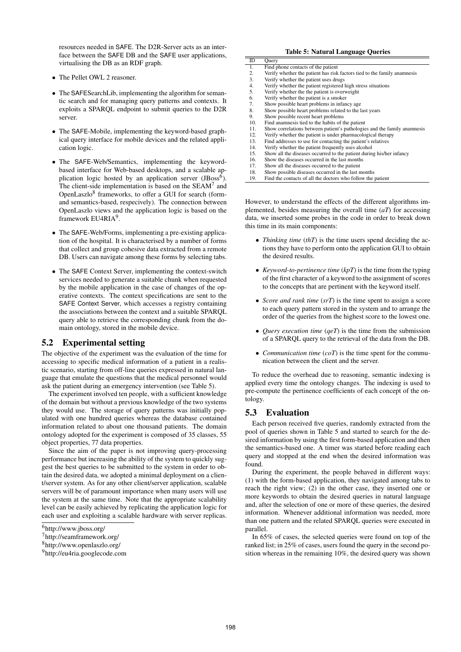resources needed in SAFE. The D2R-Server acts as an interface between the SAFE DB and the SAFE user applications, virtualising the DB as an RDF graph.

- The Pellet OWL 2 reasoner.
- The SAFESearchLib, implementing the algorithm for semantic search and for managing query patterns and contexts. It exploits a SPARQL endpoint to submit queries to the D2R server.
- The SAFE-Mobile, implementing the keyword-based graphical query interface for mobile devices and the related application logic.
- The SAFE-Web/Semantics, implementing the keywordbased interface for Web-based desktops, and a scalable application logic hosted by an application server (JBoss<sup>6</sup>). The client-side implementation is based on the SEAM<sup>7</sup> and OpenLaszlo<sup>8</sup> frameworks, to offer a GUI for search (formand semantics-based, respecively). The connection between OpenLaszlo views and the application logic is based on the framework EU4RIA<sup>9</sup>.
- The SAFE-Web/Forms, implementing a pre-existing application of the hospital. It is characterised by a number of forms that collect and group cohesive data extracted from a remote DB. Users can navigate among these forms by selecting tabs.
- The SAFE Context Server, implementing the context-switch services needed to generate a suitable chunk when requested by the mobile application in the case of changes of the operative contexts. The context specifications are sent to the SAFE Context Server, which accesses a registry containing the associations between the context and a suitable SPARQL query able to retrieve the corresponding chunk from the domain ontology, stored in the mobile device.

# 5.2 Experimental setting

The objective of the experiment was the evaluation of the time for accessing to specific medical information of a patient in a realistic scenario, starting from off-line queries expressed in natural language that emulate the questions that the medical personnel would ask the patient during an emergency intervention (see Table 5).

The experiment involved ten people, with a sufficient knowledge of the domain but without a previous knowledge of the two systems they would use. The storage of query patterns was initially populated with one hundred queries whereas the database contained information related to about one thousand patients. The domain ontology adopted for the experiment is composed of 35 classes, 55 object properties, 77 data properties.

Since the aim of the paper is not improving query-processing performance but increasing the ability of the system to quickly suggest the best queries to be submitted to the system in order to obtain the desired data, we adopted a minimal deployment on a client/server system. As for any other client/server application, scalable servers will be of paramount importance when many users will use the system at the same time. Note that the appropriate scalability level can be easily achieved by replicating the application logic for each user and exploiting a scalable hardware with server replicas.

#### Table 5: Natural Language Queries

| ID  | Ouery                                                                    |
|-----|--------------------------------------------------------------------------|
| 1.  | Find phone contacts of the patient                                       |
| 2.  | Verify whether the patient has risk factors tied to the family anamnesis |
| 3.  | Verify whether the patient uses drugs                                    |
| 4.  | Verify whether the patient registered high stress situations             |
| 5.  | Verify whether the the patient is overweight                             |
| 6.  | Verify whether the patient is a smoker                                   |
| 7.  | Show possible heart problems in infancy age.                             |
| 8.  | Show possible heart problems related to the last years                   |
| 9.  | Show possible recent heart problems                                      |
| 10. | Find anamnesis tied to the habits of the patient                         |
| 11. | Show correlations between patient's pathologies and the family anamnesis |
| 12. | Verify whether the patient is under pharmacological therapy              |
| 13. | Find addresses to use for contacting the patient's relatives             |
| 14. | Verify whether the patient frequently uses alcohol                       |
| 15. | Show all the diseases occurred to the patient during his/her infancy     |
| 16. | Show the diseases occurred in the last months                            |
| 17. | Show all the diseases occurred to the patient                            |
| 18. | Show possible diseases occurred in the last months                       |

However, to understand the effects of the different algorithms implemented, besides measuring the overall time (*aT*) for accessing data, we inserted some probes in the code in order to break down this time in its main components:

19. Find the contacts of all the doctors who follow the patient

- *Thinking time* (*thT*) is the time users spend deciding the actions they have to perform onto the application GUI to obtain the desired results.
- *Keyword-to-pertinence time* (*kpT*) is the time from the typing of the first character of a keyword to the assignment of scores to the concepts that are pertinent with the keyword itself.
- *Score and rank time* (*srT*) is the time spent to assign a score to each query pattern stored in the system and to arrange the order of the queries from the highest score to the lowest one.
- *Query execution time* (*qeT*) is the time from the submission of a SPARQL query to the retrieval of the data from the DB.
- *Communication time* (*coT*) is the time spent for the communication between the client and the server.

To reduce the overhead due to reasoning, semantic indexing is applied every time the ontology changes. The indexing is used to pre-compute the pertinence coefficients of each concept of the ontology.

# 5.3 Evaluation

Each person received five queries, randomly extracted from the pool of queries shown in Table 5 and started to search for the desired information by using the first form-based application and then the semantics-based one. A timer was started before reading each query and stopped at the end when the desired information was found.

During the experiment, the people behaved in different ways: (1) with the form-based application, they navigated among tabs to reach the right view; (2) in the other case, they inserted one or more keywords to obtain the desired queries in natural language and, after the selection of one or more of these queries, the desired information. Whenever additional information was needed, more than one pattern and the related SPARQL queries were executed in parallel.

In 65% of cases, the selected queries were found on top of the ranked list; in 25% of cases, users found the query in the second position whereas in the remaining 10%, the desired query was shown

<sup>6</sup>http://www.jboss.org/

<sup>7</sup>http://seamframework.org/

<sup>8</sup>http://www.openlaszlo.org/

<sup>9</sup>http://eu4ria.googlecode.com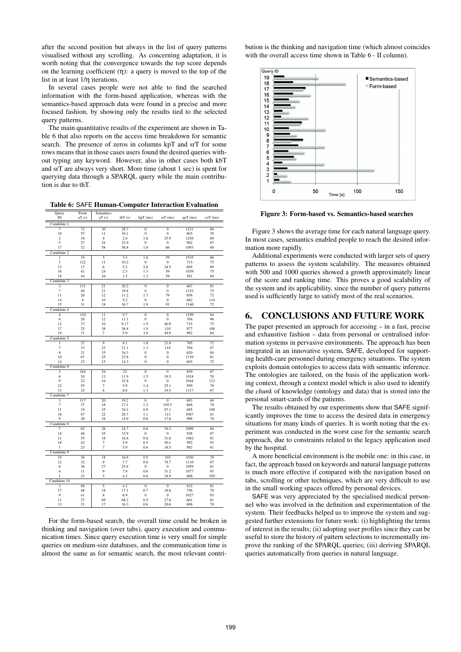after the second position but always in the list of query patterns visualised without any scrolling. As concerning adaptation, it is worth noting that the convergence towards the top score depends on the learning coefficient  $(\eta)$ : a query is moved to the top of the list in at least 1/η iterations.

In several cases people were not able to find the searched information with the form-based application, whereas with the semantics-based approach data were found in a precise and more focused fashion, by showing only the results tied to the selected query patterns.

The main quantitative results of the experiment are shown in Table 6 that also reports on the access time breakdown for semantic search. The presence of zeros in columns kpT and srT for some rows means that in those cases users found the desired queries without typing any keyword. However, also in other cases both kbT and srT are always very short. More time (about 1 sec) is spent for querying data through a SPARQL query while the main contribution is due to thT.

Table 6: SAFE Human-Computer Interaction Evaluation

| Query             | Form            | Semantics       |                                   |                  |                   |              |                 |
|-------------------|-----------------|-----------------|-----------------------------------|------------------|-------------------|--------------|-----------------|
| ID                | aT(s)           | aT(s)           | $\text{thT}\left(\text{s}\right)$ | kpT (ms)         | $srT$ (ms)        | $qeT$ (ms)   | $coT$ (ms)      |
| Candidate 1       |                 |                 |                                   |                  |                   |              |                 |
| 7                 | 72              | 30              | 28.7                              | $\overline{0}$   | $\overline{0}$    | 1231         | 60              |
| 10                | 57              | 11              | 10.1                              | $\boldsymbol{0}$ | $\boldsymbol{0}$  | 803          | 78              |
| $\overline{c}$    | 16              | $\overline{4}$  | 2.6                               | 1.6              | 25.9              | 1258         | 69              |
| 5                 | 27              | 24              | 22.9                              | $\bf{0}$         | $\boldsymbol{0}$  | 962          | 87              |
| 17                | 32              | 58              | 56.8                              | 1.6              | 66                | 1093         | 69              |
| Candidate 2       |                 |                 |                                   |                  |                   |              |                 |
| $\overline{1}$    | 10              | 3               | 3.3                               |                  | 59                |              |                 |
| 3                 |                 |                 |                                   | 1.6              |                   | 1535         | 66<br>75        |
|                   | 122             | 11              | 10.2                              | $\boldsymbol{0}$ | $\boldsymbol{0}$  | 713          |                 |
| 13                | 17              | 6               | 5.2                               | 2.6              | 34.5              | 695          | 69              |
| 16                | 41              | 24              | 2.3                               | 1.3              | 59                | 1039         | 75              |
| 18                | 44              | 16              | 1.5                               | 1.3              | 58                | 581          | 84              |
| Candidate 3       |                 |                 |                                   |                  |                   |              |                 |
| 3                 | 111             | 21              | 20.2                              | $\overline{0}$   | $\overline{0}$    | 667          | 81              |
| $\tau$            | 40              | 21              | 19.8                              | $\boldsymbol{0}$ | $\boldsymbol{0}$  | 1153         | 75              |
| 11                | 26              | 12              | 11.2                              | 1.7              | 79                | 658          | 72              |
| 14                | 8               | 10              | 9.2                               | $\boldsymbol{0}$ | $\boldsymbol{0}$  | 662          | 114             |
| 15                | 31              | 18              | 16.7                              | 1.8              | 91                | 1146         | 72              |
| Candidate 4       |                 |                 |                                   |                  |                   |              |                 |
| $\overline{4}$    | 110             | $\overline{11}$ | 9.7                               | $\overline{0}$   | $\overline{0}$    | 1199         | 84              |
| 6                 | 20              | 12              | 11.1                              | $\boldsymbol{0}$ | $\bf{0}$          | 704          | 96              |
| 12                | 37              | 10              | 9.17                              | 1.9              | 40.9              | 715          | 75              |
| 17                | 25              | 38              | 36.8                              | 1.9              | 110               | 977          | 108             |
| 19                | 71              | $\tau$          | 5.9                               | 3.9              | 49.9              | 982          | 84              |
| Candidate 5       |                 |                 |                                   |                  |                   |              |                 |
| $\overline{1}$    | $\overline{27}$ | $\overline{9}$  | 8.1                               | 1.6              | $\overline{21.8}$ | 765          | $\overline{72}$ |
| $\tau$            | 33              | 22              | 21.1                              | 1.3              | 118               | 704          | 87              |
| 8                 | 21              | 35              | 34.3                              | $\boldsymbol{0}$ | $\boldsymbol{0}$  | 620          | 84              |
| 10                | 67              | 25              | 23.8                              | $\boldsymbol{0}$ | $\bf{0}$          | 1139         | 81              |
| 14                | 23              | 15              | 14.3                              | $\boldsymbol{0}$ | $\overline{0}$    | 603          | 75              |
| Candidate 6       |                 |                 |                                   |                  |                   |              |                 |
| 3                 | 164             | 24              | 23                                | $\overline{0}$   | $\overline{0}$    | 859          | 87              |
| 6                 | 54              | 13              | 11.9                              | 1.5              | 19.5              | 1018         | 78              |
| 9                 | 22              | 34              | 32.8                              | $\boldsymbol{0}$ | $\boldsymbol{0}$  | 1044         | 123             |
| 12                | 55              | $\overline{7}$  | 5.9                               | 1.4              | 25.1              | 959          | 78              |
| 13                | 25              | 8               | 6.8                               | 1.3              | 19.5              | 1117         | 87              |
| Candidate 7       |                 |                 |                                   |                  |                   |              |                 |
|                   | 117             | $\overline{20}$ | 19.2                              | $\overline{0}$   | $\overline{0}$    | 683          | 84              |
| $\overline{\tau}$ | 37              | 18              | 17.1                              | 1.2              | 105.5             | 668          | 78              |
| 11                | 19              | 35              | 34.1                              | 0.9              | 87.1              | 685          | 108             |
| 16                | 47              | 22              | 20.7                              | 1.1              | 113               | 1087         | 81              |
| 9                 | 20              | 16              | 14.9                              | 0.6              | 17.6              | 988          | 78              |
| Candidate 8       |                 |                 |                                   |                  |                   |              |                 |
| 7                 | 62              | 26              | 24.7                              | 0.6              | 76.3              | 1099         | 84              |
| 14                | 46              | 35              | 33.9                              | $\boldsymbol{0}$ | $\boldsymbol{0}$  | 928          | 87              |
| 11                | 55              | 18              | 16.8                              | 0.6              | 31.6              | 1082         | 81              |
| 18                | 42              | $\tau$          | 5.9                               | 0.5              | 30.1              | 992          | 93              |
| $\mathbf{1}$      | 23              | $\overline{7}$  | 5.9                               | 0.6              | 18.5              | 982          | 81              |
| Candidate 9       |                 |                 |                                   |                  |                   |              |                 |
| 19                | 36              | 18              | 16.8                              | 0.5              | 103               | 1030         | 78              |
| 12                | 32              | 9               | 7.7                               | 0.6              | 78.7              | 1110         | 87              |
| 6                 | 36              | 27              | 25.8                              | $\boldsymbol{0}$ | $\boldsymbol{0}$  |              | 81              |
| $\overline{4}$    | 11              | 9               | 7.8                               | 0.6              | 31.2              | 1059<br>1077 | 93              |
|                   |                 | 5               | 4.2                               |                  |                   |              |                 |
| $\mathbf{1}$      | 22              |                 |                                   | 0.6              | 18.9              | 606          | 105             |
| Candidate 10      |                 |                 |                                   |                  |                   |              |                 |
|                   | 88              | 5               | 4.3                               | $\overline{0}$   | $\overline{0}$    | 633          | $\overline{81}$ |
| 17                | 48              | 18              | 17.1                              | 0.7              | 18.6              | 756          | 78              |
| 9                 | 41              | 8               | 6.9                               | $\boldsymbol{0}$ | 0                 | 1027         | 93              |
| 11                | 27              | 69              | 68.2                              | 0.5              | 27.6              | 661          | 81              |
| 13                | 21              | 17              | 16.3                              | 0.6              | 20.6              | 606          | 78              |

For the form-based search, the overall time could be broken in thinking and navigation (over tabs), query execution and communication times. Since query execution time is very small for simple queries on medium-size databases, and the communication time is almost the same as for semantic search, the most relevant contribution is the thinking and navigation time (which almost coincides with the overall access time shown in Table 6 - II column).



Figure 3: Form-based vs. Semantics-based searches

Figure 3 shows the average time for each natural language query. In most cases, semantics enabled people to reach the desired information more rapidly.

Additional experiments were conducted with larger sets of query patterns to assess the system scalability. The measures obtained with 500 and 1000 queries showed a growth approximately linear of the score and ranking time. This proves a good scalability of the system and its applicability, since the number of query patterns used is sufficiently large to satisfy most of the real scenarios.

#### 6. CONCLUSIONS AND FUTURE WORK

The paper presented an approach for accessing – in a fast, precise and exhaustive fashion – data from personal or centralised information systems in pervasive environments. The approach has been integrated in an innovative system, SAFE, developed for supporting health-care personnel during emergency situations. The system exploits domain ontologies to access data with semantic inference. The ontologies are tailored, on the basis of the application working context, through a context model which is also used to identify the *chunk* of knowledge (ontology and data) that is stored into the personal smart-cards of the patients.

The results obtained by our experiments show that SAFE significantly improves the time to access the desired data in emergency situations for many kinds of queries. It is worth noting that the experiment was conducted in the worst case for the semantic search approach, due to constraints related to the legacy application used by the hospital.

A more beneficial environment is the mobile one: in this case, in fact, the approach based on keywords and natural language patterns is much more effective if compared with the navigation based on tabs, scrolling or other techniques, which are very difficult to use in the small working spaces offered by personal devices.

SAFE was very appreciated by the specialised medical personnel who was involved in the definition and experimentation of the system. Their feedbacks helped us to improve the system and suggested further extensions for future work: (i) highlighting the terms of interest in the results; (ii) adopting user profiles since they can be useful to store the history of pattern selections to incrementally improve the ranking of the SPARQL queries; (iii) deriving SPARQL queries automatically from queries in natural language.